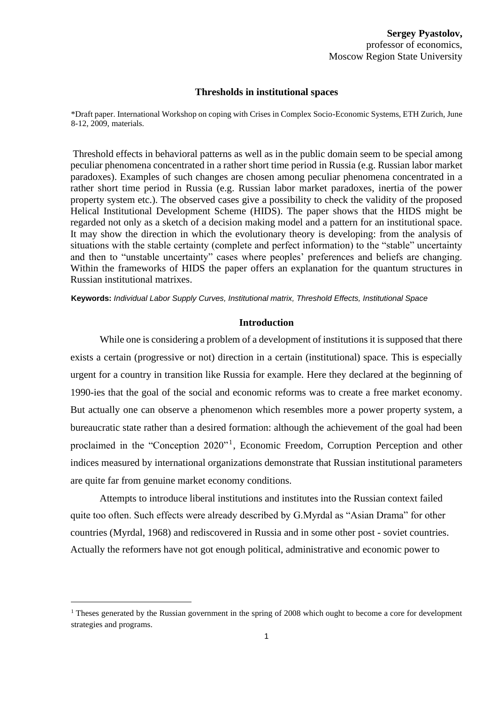#### **Thresholds in institutional spaces**

\*Draft paper. International Workshop on coping with Crises in Complex Socio-Economic Systems, ETH Zurich, June 8-12, 2009, materials.

Threshold effects in behavioral patterns as well as in the public domain seem to be special among peculiar phenomena concentrated in a rather short time period in Russia (e.g. Russian labor market paradoxes). Examples of such changes are chosen among peculiar phenomena concentrated in a rather short time period in Russia (e.g. Russian labor market paradoxes, inertia of the power property system etc.). The observed cases give a possibility to check the validity of the proposed Helical Institutional Development Scheme (HIDS). The paper shows that the HIDS might be regarded not only as a sketch of a decision making model and a pattern for an institutional space. It may show the direction in which the evolutionary theory is developing: from the analysis of situations with the stable certainty (complete and perfect information) to the "stable" uncertainty and then to "unstable uncertainty" cases where peoples' preferences and beliefs are changing. Within the frameworks of HIDS the paper offers an explanation for the quantum structures in Russian institutional matrixes.

**Keywords:** *Individual Labor Supply Curves, Institutional matrix, Threshold Effects, Institutional Space*

#### **Introduction**

While one is considering a problem of a development of institutions it is supposed that there exists a certain (progressive or not) direction in a certain (institutional) space. This is especially urgent for a country in transition like Russia for example. Here they declared at the beginning of 1990-ies that the goal of the social and economic reforms was to create a free market economy. But actually one can observe a phenomenon which resembles more a power property system, a bureaucratic state rather than a desired formation: although the achievement of the goal had been proclaimed in the "Conception 2020"<sup>1</sup>, Economic Freedom, Corruption Perception and other indices measured by international organizations demonstrate that Russian institutional parameters are quite far from genuine market economy conditions.

Attempts to introduce liberal institutions and institutes into the Russian context failed quite too often. Such effects were already described by G.Myrdal as "Asian Drama" for other countries (Myrdal, 1968) and rediscovered in Russia and in some other post - soviet countries. Actually the reformers have not got enough political, administrative and economic power to

<sup>&</sup>lt;sup>1</sup> Theses generated by the Russian government in the spring of 2008 which ought to become a core for development strategies and programs.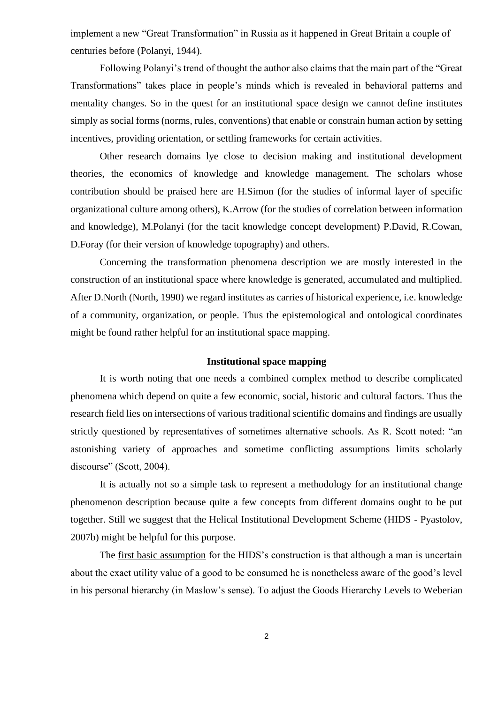implement a new "Great Transformation" in Russia as it happened in Great Britain a couple of centuries before (Polanyi, 1944).

Following Polanyi's trend of thought the author also claims that the main part of the "Great Transformations" takes place in people's minds which is revealed in behavioral patterns and mentality changes. So in the quest for an institutional space design we cannot define institutes simply as social forms (norms, rules, conventions) that enable or constrain human action by setting incentives, providing orientation, or settling frameworks for certain activities.

Other research domains lye close to decision making and institutional development theories, the economics of knowledge and knowledge management. The scholars whose contribution should be praised here are H.Simon (for the studies of informal layer of specific organizational culture among others), K.Arrow (for the studies of correlation between information and knowledge), M.Polanyi (for the tacit knowledge concept development) P.David, R.Cowan, D.Foray (for their version of knowledge topography) and others.

Concerning the transformation phenomena description we are mostly interested in the construction of an institutional space where knowledge is generated, accumulated and multiplied. After D.North (North, 1990) we regard institutes as carries of historical experience, i.e. knowledge of a community, organization, or people. Thus the epistemological and ontological coordinates might be found rather helpful for an institutional space mapping.

## **Institutional space mapping**

It is worth noting that one needs a combined complex method to describe complicated phenomena which depend on quite a few economic, social, historic and cultural factors. Thus the research field lies on intersections of various traditional scientific domains and findings are usually strictly questioned by representatives of sometimes alternative schools. As R. Scott noted: "an astonishing variety of approaches and sometime conflicting assumptions limits scholarly discourse" (Scott, 2004).

It is actually not so a simple task to represent a methodology for an institutional change phenomenon description because quite a few concepts from different domains ought to be put together. Still we suggest that the Helical Institutional Development Scheme (HIDS - Pyastolov, 2007b) might be helpful for this purpose.

The first basic assumption for the HIDS's construction is that although a man is uncertain about the exact utility value of a good to be consumed he is nonetheless aware of the good's level in his personal hierarchy (in Maslow's sense). To adjust the Goods Hierarchy Levels to Weberian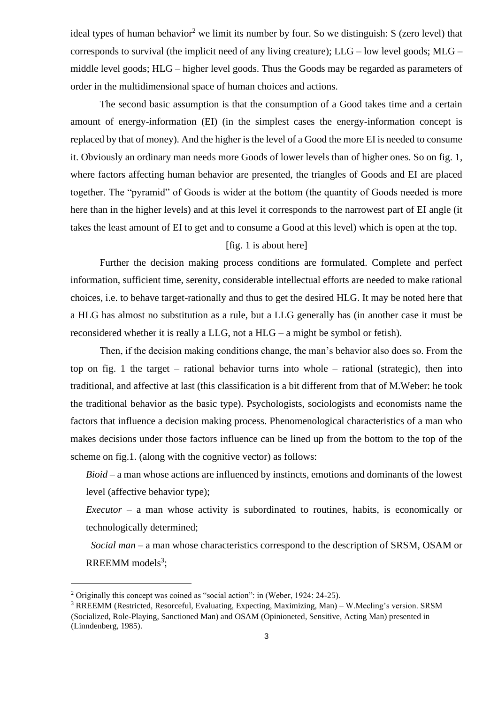ideal types of human behavior<sup>2</sup> we limit its number by four. So we distinguish: S (zero level) that corresponds to survival (the implicit need of any living creature); LLG – low level goods; MLG – middle level goods; HLG – higher level goods. Thus the Goods may be regarded as parameters of order in the multidimensional space of human choices and actions.

The second basic assumption is that the consumption of a Good takes time and a certain amount of energy-information (EI) (in the simplest cases the energy-information concept is replaced by that of money). And the higher is the level of a Good the more EI is needed to consume it. Obviously an ordinary man needs more Goods of lower levels than of higher ones. So on fig. 1, where factors affecting human behavior are presented, the triangles of Goods and EI are placed together. The "pyramid" of Goods is wider at the bottom (the quantity of Goods needed is more here than in the higher levels) and at this level it corresponds to the narrowest part of EI angle (it takes the least amount of EI to get and to consume a Good at this level) which is open at the top.

# [fig. 1 is about here]

Further the decision making process conditions are formulated. Complete and perfect information, sufficient time, serenity, considerable intellectual efforts are needed to make rational choices, i.e. to behave target-rationally and thus to get the desired HLG. It may be noted here that a HLG has almost no substitution as a rule, but a LLG generally has (in another case it must be reconsidered whether it is really a LLG, not a HLG – a might be symbol or fetish).

Then, if the decision making conditions change, the man's behavior also does so. From the top on fig. 1 the target – rational behavior turns into whole – rational (strategic), then into traditional, and affective at last (this classification is a bit different from that of M.Weber: he took the traditional behavior as the basic type). Psychologists, sociologists and economists name the factors that influence a decision making process. Phenomenological characteristics of a man who makes decisions under those factors influence can be lined up from the bottom to the top of the scheme on fig.1. (along with the cognitive vector) as follows:

*Bioid* – a man whose actions are influenced by instincts, emotions and dominants of the lowest level (affective behavior type);

*Executor* – a man whose activity is subordinated to routines, habits, is economically or technologically determined;

*Social man* – a man whose characteristics correspond to the description of SRSM, OSAM or RREEMM models<sup>3</sup>;

<sup>&</sup>lt;sup>2</sup> Originally this concept was coined as "social action": in (Weber, 1924: 24-25).

<sup>3</sup> RREEMM (Restricted, Resorceful, Evaluating, Expecting, Maximizing, Man) – W.Mecling's version. SRSM (Socialized, Role-Playing, Sanctioned Man) and OSAM (Opinioneted, Sensitive, Acting Man) presented in (Linndenberg, 1985).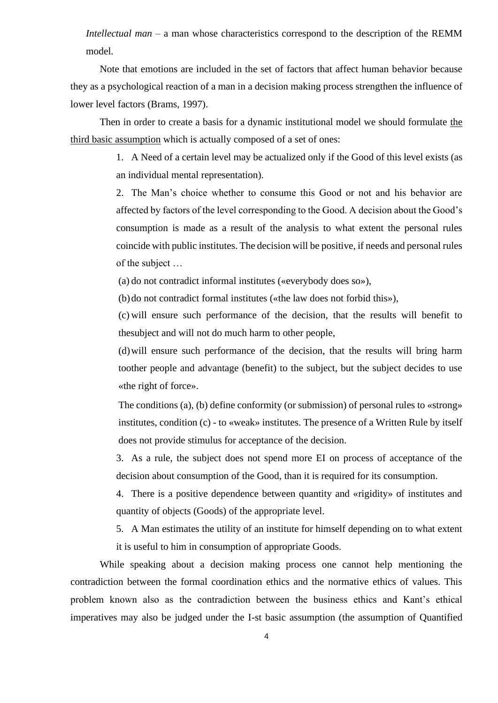*Intellectual man* – a man whose characteristics correspond to the description of the REMM model.

Note that emotions are included in the set of factors that affect human behavior because they as a psychological reaction of a man in a decision making process strengthen the influence of lower level factors (Brams, 1997).

Then in order to create a basis for a dynamic institutional model we should formulate the third basic assumption which is actually composed of a set of ones:

> 1. A Need of a certain level may be actualized only if the Good of this level exists (as an individual mental representation).

> 2. The Man's choice whether to consume this Good or not and his behavior are affected by factors of the level corresponding to the Good. A decision about the Good's consumption is made as a result of the analysis to what extent the personal rules coincide with public institutes. The decision will be positive, if needs and personal rules of the subject …

(a) do not contradict informal institutes («everybody does so»),

(b)do not contradict formal institutes («the law does not forbid this»),

(c) will ensure such performance of the decision, that the results will benefit to thesubject and will not do much harm to other people,

(d)will ensure such performance of the decision, that the results will bring harm toother people and advantage (benefit) to the subject, but the subject decides to use «the right of force».

The conditions (a), (b) define conformity (or submission) of personal rules to «strong» institutes, condition (c) - to «weak» institutes. The presence of a Written Rule by itself does not provide stimulus for acceptance of the decision.

3. As a rule, the subject does not spend more EI on process of acceptance of the decision about consumption of the Good, than it is required for its consumption.

4. There is a positive dependence between quantity and «rigidity» of institutes and quantity of objects (Goods) of the appropriate level.

5. A Man estimates the utility of an institute for himself depending on to what extent it is useful to him in consumption of appropriate Goods.

While speaking about a decision making process one cannot help mentioning the contradiction between the formal coordination ethics and the normative ethics of values. This problem known also as the contradiction between the business ethics and Kant's ethical imperatives may also be judged under the I-st basic assumption (the assumption of Quantified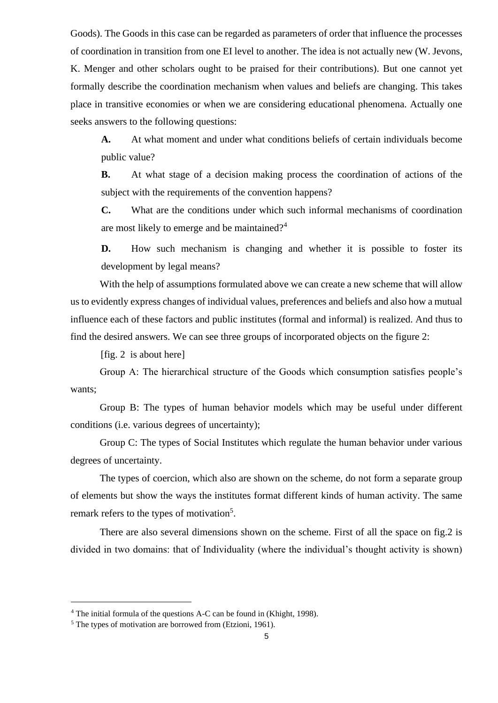Goods). The Goods in this case can be regarded as parameters of order that influence the processes of coordination in transition from one EI level to another. The idea is not actually new (W. Jevons, K. Menger and other scholars ought to be praised for their contributions). But one cannot yet formally describe the coordination mechanism when values and beliefs are changing. This takes place in transitive economies or when we are considering educational phenomena. Actually one seeks answers to the following questions:

**A.** At what moment and under what conditions beliefs of certain individuals become public value?

**B.** At what stage of a decision making process the coordination of actions of the subject with the requirements of the convention happens?

**C.** What are the conditions under which such informal mechanisms of coordination are most likely to emerge and be maintained?<sup>4</sup>

**D.** How such mechanism is changing and whether it is possible to foster its development by legal means?

With the help of assumptions formulated above we can create a new scheme that will allow us to evidently express changes of individual values, preferences and beliefs and also how a mutual influence each of these factors and public institutes (formal and informal) is realized. And thus to find the desired answers. We can see three groups of incorporated objects on the figure 2:

[fig. 2 is about here]

Group A: The hierarchical structure of the Goods which consumption satisfies people's wants;

Group B: The types of human behavior models which may be useful under different conditions (i.e. various degrees of uncertainty);

Group C: The types of Social Institutes which regulate the human behavior under various degrees of uncertainty.

The types of coercion, which also are shown on the scheme, do not form a separate group of elements but show the ways the institutes format different kinds of human activity. The same remark refers to the types of motivation<sup>5</sup>.

There are also several dimensions shown on the scheme. First of all the space on fig.2 is divided in two domains: that of Individuality (where the individual's thought activity is shown)

<sup>4</sup> The initial formula of the questions A-C can be found in (Khight, 1998).

<sup>&</sup>lt;sup>5</sup> The types of motivation are borrowed from (Etzioni, 1961).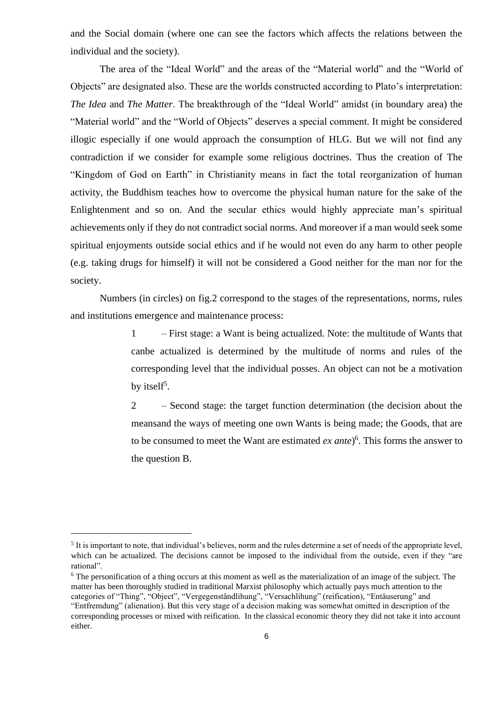and the Social domain (where one can see the factors which affects the relations between the individual and the society).

The area of the "Ideal World" and the areas of the "Material world" and the "World of Objects" are designated also. These are the worlds constructed according to Plato's interpretation: *The Idea* and *The Matter*. The breakthrough of the "Ideal World" amidst (in boundary area) the "Material world" and the "World of Objects" deserves a special comment. It might be considered illogic especially if one would approach the consumption of HLG. But we will not find any contradiction if we consider for example some religious doctrines. Thus the creation of The "Kingdom of God on Earth" in Christianity means in fact the total reorganization of human activity, the Buddhism teaches how to overcome the physical human nature for the sake of the Enlightenment and so on. And the secular ethics would highly appreciate man's spiritual achievements only if they do not contradict social norms. And moreover if a man would seek some spiritual enjoyments outside social ethics and if he would not even do any harm to other people (e.g. taking drugs for himself) it will not be considered a Good neither for the man nor for the society.

Numbers (in circles) on fig.2 correspond to the stages of the representations, norms, rules and institutions emergence and maintenance process:

> 1 – First stage: a Want is being actualized. Note: the multitude of Wants that canbe actualized is determined by the multitude of norms and rules of the corresponding level that the individual posses. An object can not be a motivation by itself<sup>5</sup>.

> 2 – Second stage: the target function determination (the decision about the meansand the ways of meeting one own Wants is being made; the Goods, that are to be consumed to meet the Want are estimated *ex ante*) 6 . This forms the answer to the question B.

 $<sup>5</sup>$  It is important to note, that individual's believes, norm and the rules determine a set of needs of the appropriate level,</sup> which can be actualized. The decisions cannot be imposed to the individual from the outside, even if they "are rational".

<sup>6</sup> The personification of a thing occurs at this moment as well as the materialization of an image of the subject. The matter has been thoroughly studied in traditional Marxist philosophy which actually pays much attention to the categories of "Thing", "Object", "Vergegenständlihung", "Versachlihung" (reification), "Entäuserung" and "Entfremdung" (alienation). But this very stage of a decision making was somewhat omitted in description of the corresponding processes or mixed with reification. In the classical economic theory they did not take it into account either.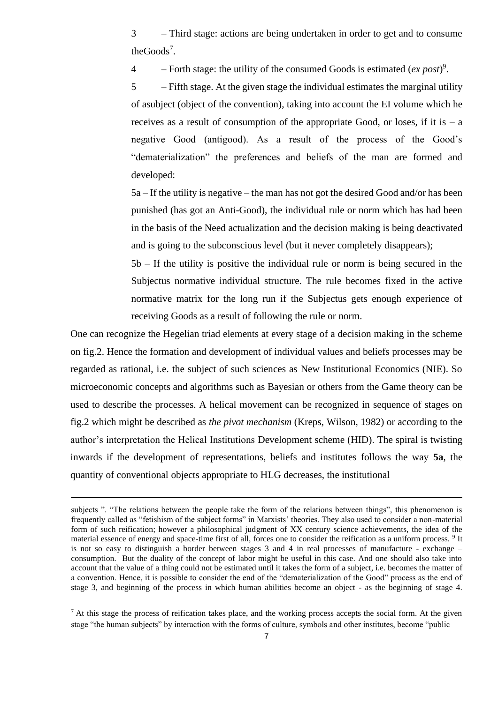3 – Third stage: actions are being undertaken in order to get and to consume the $Goods^7$ .

4 – Forth stage: the utility of the consumed Goods is estimated  $(ex\ post)^9$ .

5 – Fifth stage. At the given stage the individual estimates the marginal utility of asubject (object of the convention), taking into account the EI volume which he receives as a result of consumption of the appropriate Good, or loses, if it is  $-$  a negative Good (antigood). As a result of the process of the Good's "dematerialization" the preferences and beliefs of the man are formed and developed:

5a – If the utility is negative – the man has not got the desired Good and/or has been punished (has got an Anti-Good), the individual rule or norm which has had been in the basis of the Need actualization and the decision making is being deactivated and is going to the subconscious level (but it never completely disappears);

5b – If the utility is positive the individual rule or norm is being secured in the Subjectus normative individual structure. The rule becomes fixed in the active normative matrix for the long run if the Subjectus gets enough experience of receiving Goods as a result of following the rule or norm.

One can recognize the Hegelian triad elements at every stage of a decision making in the scheme on fig.2. Hence the formation and development of individual values and beliefs processes may be regarded as rational, i.e. the subject of such sciences as New Institutional Economics (NIE). So microeconomic concepts and algorithms such as Bayesian or others from the Game theory can be used to describe the processes. A helical movement can be recognized in sequence of stages on fig.2 which might be described as *the pivot mechanism* (Kreps, Wilson, 1982) or according to the author's interpretation the Helical Institutions Development scheme (HID). The spiral is twisting inwards if the development of representations, beliefs and institutes follows the way **5a**, the quantity of conventional objects appropriate to HLG decreases, the institutional

subjects ". "The relations between the people take the form of the relations between things", this phenomenon is frequently called as "fetishism of the subject forms" in Marxists' theories. They also used to consider a non-material form of such reification; however a philosophical judgment of ХХ century science achievements, the idea of the material essence of energy and space-time first of all, forces one to consider the reification as a uniform process. <sup>9</sup> It is not so easy to distinguish a border between stages 3 and 4 in real processes of manufacture - exchange – consumption. But the duality of the concept of labor might be useful in this case. And one should also take into account that the value of a thing could not be estimated until it takes the form of a subject, i.e. becomes the matter of a convention. Hence, it is possible to consider the end of the "dematerialization of the Good" process as the end of stage 3, and beginning of the process in which human abilities become an object - as the beginning of stage 4.

 $7$  At this stage the process of reification takes place, and the working process accepts the social form. At the given stage "the human subjects" by interaction with the forms of culture, symbols and other institutes, become "public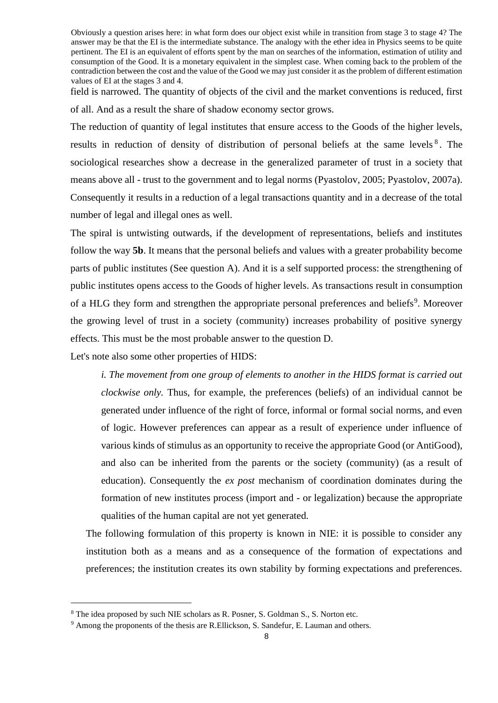Obviously a question arises here: in what form does our object exist while in transition from stage 3 to stage 4? The answer may be that the EI is the intermediate substance. The analogy with the ether idea in Physics seems to be quite pertinent. The EI is an equivalent of efforts spent by the man on searches of the information, estimation of utility and consumption of the Good. It is a monetary equivalent in the simplest case. When coming back to the problem of the contradiction between the cost and the value of the Good we may just consider it as the problem of different estimation values of EI at the stages 3 and 4.

field is narrowed. The quantity of objects of the civil and the market conventions is reduced, first of all. And as a result the share of shadow economy sector grows.

The reduction of quantity of legal institutes that ensure access to the Goods of the higher levels, results in reduction of density of distribution of personal beliefs at the same levels<sup>8</sup>. The sociological researches show a decrease in the generalized parameter of trust in a society that means above all - trust to the government and to legal norms (Pyastolov, 2005; Pyastolov, 2007a). Consequently it results in a reduction of a legal transactions quantity and in a decrease of the total number of legal and illegal ones as well.

The spiral is untwisting outwards, if the development of representations, beliefs and institutes follow the way **5b**. It means that the personal beliefs and values with a greater probability become parts of public institutes (See question A). And it is a self supported process: the strengthening of public institutes opens access to the Goods of higher levels. As transactions result in consumption of a HLG they form and strengthen the appropriate personal preferences and beliefs<sup>9</sup>. Moreover the growing level of trust in a society (community) increases probability of positive synergy effects. This must be the most probable answer to the question D.

Let's note also some other properties of HIDS:

*i. The movement from one group of elements to another in the HIDS format is carried out clockwise only.* Thus, for example, the preferences (beliefs) of an individual cannot be generated under influence of the right of force, informal or formal social norms, and even of logic. However preferences can appear as a result of experience under influence of various kinds of stimulus as an opportunity to receive the appropriate Good (or AntiGood), and also can be inherited from the parents or the society (community) (as a result of education). Consequently the *ex post* mechanism of coordination dominates during the formation of new institutes process (import and - or legalization) because the appropriate qualities of the human capital are not yet generated.

The following formulation of this property is known in NIE: it is possible to consider any institution both as a means and as a consequence of the formation of expectations and preferences; the institution creates its own stability by forming expectations and preferences.

<sup>&</sup>lt;sup>8</sup> The idea proposed by such NIE scholars as R. Posner, S. Goldman S., S. Norton etc.

<sup>9</sup> Among the proponents of the thesis are R.Ellickson, S. Sandefur, E. Lauman and others.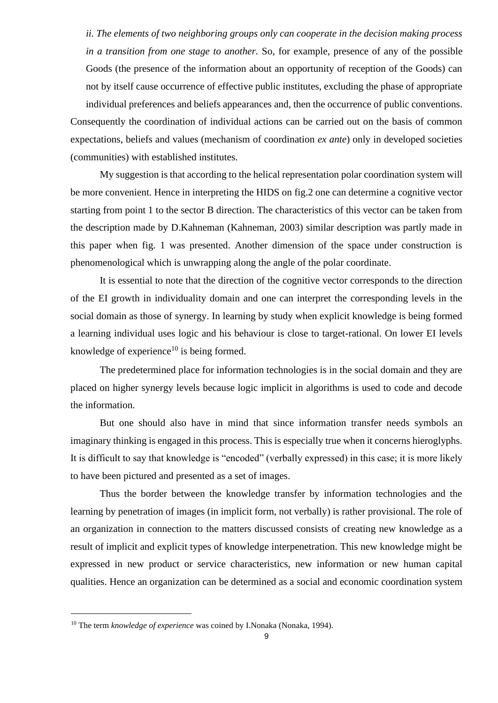*ii. The elements of two neighboring groups only can cooperate in the decision making process in a transition from one stage to another.* So, for example, presence of any of the possible Goods (the presence of the information about an opportunity of reception of the Goods) can not by itself cause occurrence of effective public institutes, excluding the phase of appropriate individual preferences and beliefs appearances and, then the occurrence of public conventions. Consequently the coordination of individual actions can be carried out on the basis of common expectations, beliefs and values (mechanism of coordination *ex ante*) only in developed societies (communities) with established institutes.

My suggestion is that according to the helical representation polar coordination system will be more convenient. Hence in interpreting the HIDS on fig.2 one can determine a cognitive vector starting from point 1 to the sector B direction. The characteristics of this vector can be taken from the description made by D.Kahneman (Kahneman, 2003) similar description was partly made in this paper when fig. 1 was presented. Another dimension of the space under construction is phenomenological which is unwrapping along the angle of the polar coordinate.

It is essential to note that the direction of the cognitive vector corresponds to the direction of the EI growth in individuality domain and one can interpret the corresponding levels in the social domain as those of synergy. In learning by study when explicit knowledge is being formed a learning individual uses logic and his behaviour is close to target-rational. On lower EI levels knowledge of experience<sup>10</sup> is being formed.

The predetermined place for information technologies is in the social domain and they are placed on higher synergy levels because logic implicit in algorithms is used to code and decode the information.

But one should also have in mind that since information transfer needs symbols an imaginary thinking is engaged in this process. This is especially true when it concerns hieroglyphs. It is difficult to say that knowledge is "encoded" (verbally expressed) in this case; it is more likely to have been pictured and presented as a set of images.

Thus the border between the knowledge transfer by information technologies and the learning by penetration of images (in implicit form, not verbally) is rather provisional. The role of an organization in connection to the matters discussed consists of creating new knowledge as a result of implicit and explicit types of knowledge interpenetration. This new knowledge might be expressed in new product or service characteristics, new information or new human capital qualities. Hence an organization can be determined as a social and economic coordination system

<sup>&</sup>lt;sup>10</sup> The term *knowledge of experience* was coined by I.Nonaka (Nonaka, 1994).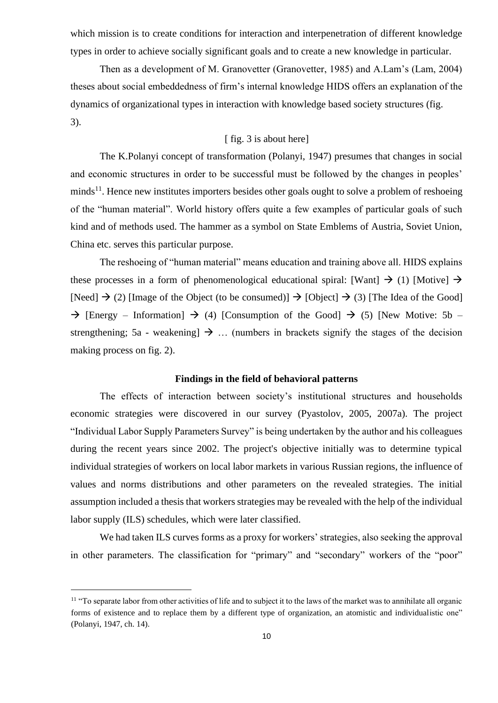which mission is to create conditions for interaction and interpenetration of different knowledge types in order to achieve socially significant goals and to create a new knowledge in particular.

Then as a development of M. Granovetter (Granovetter, 1985) and A.Lam's (Lam, 2004) theses about social embeddedness of firm's internal knowledge HIDS offers an explanation of the dynamics of organizational types in interaction with knowledge based society structures (fig. 3).

## [ fig. 3 is about here]

The K.Polanyi concept of transformation (Polanyi, 1947) presumes that changes in social and economic structures in order to be successful must be followed by the changes in peoples'  $minds<sup>11</sup>$ . Hence new institutes importers besides other goals ought to solve a problem of reshoeing of the "human material". World history offers quite a few examples of particular goals of such kind and of methods used. The hammer as a symbol on State Emblems of Austria, Soviet Union, China etc. serves this particular purpose.

The reshoeing of "human material" means education and training above all. HIDS explains these processes in a form of phenomenological educational spiral: [Want]  $\rightarrow$  (1) [Motive]  $\rightarrow$ [Need]  $\rightarrow$  (2) [Image of the Object (to be consumed)]  $\rightarrow$  [Object]  $\rightarrow$  (3) [The Idea of the Good]  $\rightarrow$  [Energy – Information]  $\rightarrow$  (4) [Consumption of the Good]  $\rightarrow$  (5) [New Motive: 5b – strengthening; 5a - weakening]  $\rightarrow$  ... (numbers in brackets signify the stages of the decision making process on fig. 2).

#### **Findings in the field of behavioral patterns**

The effects of interaction between society's institutional structures and households economic strategies were discovered in our survey (Pyastolov, 2005, 2007a). The project "Individual Labor Supply Parameters Survey" is being undertaken by the author and his colleagues during the recent years since 2002. The project's objective initially was to determine typical individual strategies of workers on local labor markets in various Russian regions, the influence of values and norms distributions and other parameters on the revealed strategies. The initial assumption included a thesis that workers strategies may be revealed with the help of the individual labor supply (ILS) schedules, which were later classified.

We had taken ILS curves forms as a proxy for workers' strategies, also seeking the approval in other parameters. The classification for "primary" and "secondary" workers of the "poor"

<sup>&</sup>lt;sup>11</sup> "To separate labor from other activities of life and to subject it to the laws of the market was to annihilate all organic forms of existence and to replace them by a different type of organization, an atomistic and individualistic one" (Polanyi, 1947, ch. 14).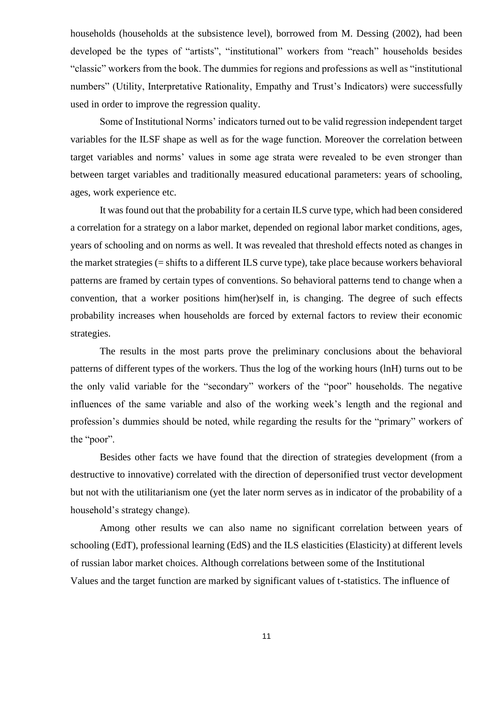households (households at the subsistence level), borrowed from M. Dessing (2002), had been developed be the types of "artists", "institutional" workers from "reach" households besides "classic" workers from the book. The dummies for regions and professions as well as "institutional numbers" (Utility, Interpretative Rationality, Empathy and Trust's Indicators) were successfully used in order to improve the regression quality.

Some of Institutional Norms' indicators turned out to be valid regression independent target variables for the ILSF shape as well as for the wage function. Moreover the correlation between target variables and norms' values in some age strata were revealed to be even stronger than between target variables and traditionally measured educational parameters: years of schooling, ages, work experience etc.

It was found out that the probability for a certain ILS curve type, which had been considered a correlation for a strategy on a labor market, depended on regional labor market conditions, ages, years of schooling and on norms as well. It was revealed that threshold effects noted as changes in the market strategies (= shifts to a different ILS curve type), take place because workers behavioral patterns are framed by certain types of conventions. So behavioral patterns tend to change when a convention, that a worker positions him(her)self in, is changing. The degree of such effects probability increases when households are forced by external factors to review their economic strategies.

The results in the most parts prove the preliminary conclusions about the behavioral patterns of different types of the workers. Thus the log of the working hours (lnH) turns out to be the only valid variable for the "secondary" workers of the "poor" households. The negative influences of the same variable and also of the working week's length and the regional and profession's dummies should be noted, while regarding the results for the "primary" workers of the "poor".

Besides other facts we have found that the direction of strategies development (from a destructive to innovative) correlated with the direction of depersonified trust vector development but not with the utilitarianism one (yet the later norm serves as in indicator of the probability of a household's strategy change).

Among other results we can also name no significant correlation between years of schooling (EdT), professional learning (EdS) and the ILS elasticities (Elasticity) at different levels of russian labor market choices. Although correlations between some of the Institutional Values and the target function are marked by significant values of t-statistics. The influence of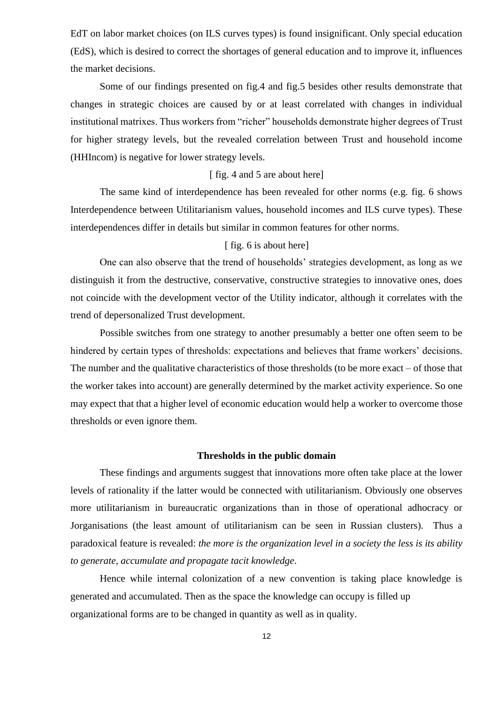EdT on labor market choices (on ILS curves types) is found insignificant. Only special education (EdS), which is desired to correct the shortages of general education and to improve it, influences the market decisions.

Some of our findings presented on fig.4 and fig.5 besides other results demonstrate that changes in strategic choices are caused by or at least correlated with changes in individual institutional matrixes. Thus workers from "richer" households demonstrate higher degrees of Trust for higher strategy levels, but the revealed correlation between Trust and household income (HHIncom) is negative for lower strategy levels.

#### [ fig. 4 and 5 are about here]

The same kind of interdependence has been revealed for other norms (e.g. fig. 6 shows Interdependence between Utilitarianism values, household incomes and ILS curve types). These interdependences differ in details but similar in common features for other norms.

# [ fig. 6 is about here]

One can also observe that the trend of households' strategies development, as long as we distinguish it from the destructive, conservative, constructive strategies to innovative ones, does not coincide with the development vector of the Utility indicator, although it correlates with the trend of depersonalized Trust development.

Possible switches from one strategy to another presumably a better one often seem to be hindered by certain types of thresholds: expectations and believes that frame workers' decisions. The number and the qualitative characteristics of those thresholds (to be more exact – of those that the worker takes into account) are generally determined by the market activity experience. So one may expect that that a higher level of economic education would help a worker to overcome those thresholds or even ignore them.

## **Thresholds in the public domain**

These findings and arguments suggest that innovations more often take place at the lower levels of rationality if the latter would be connected with utilitarianism. Obviously one observes more utilitarianism in bureaucratic organizations than in those of operational adhocracy or Jorganisations (the least amount of utilitarianism can be seen in Russian clusters). Thus a paradoxical feature is revealed: *the more is the organization level in a society the less is its ability to generate, accumulate and propagate tacit knowledge*.

Hence while internal colonization of a new convention is taking place knowledge is generated and accumulated. Then as the space the knowledge can occupy is filled up organizational forms are to be changed in quantity as well as in quality.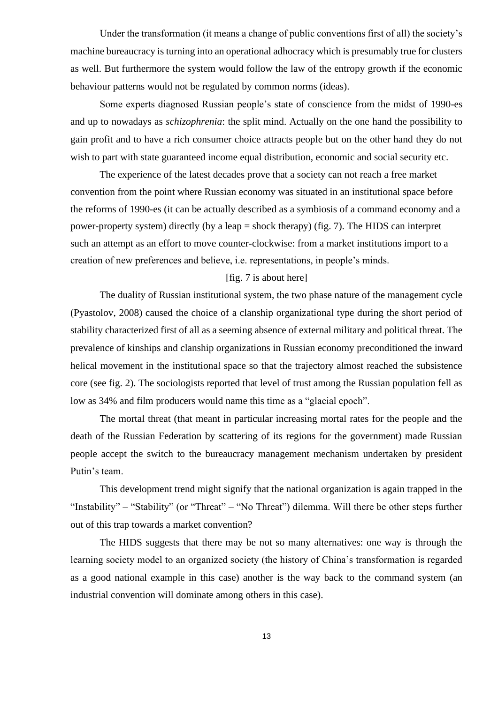Under the transformation (it means a change of public conventions first of all) the society's machine bureaucracy is turning into an operational adhocracy which is presumably true for clusters as well. But furthermore the system would follow the law of the entropy growth if the economic behaviour patterns would not be regulated by common norms (ideas).

Some experts diagnosed Russian people's state of conscience from the midst of 1990-es and up to nowadays as *schizophrenia*: the split mind. Actually on the one hand the possibility to gain profit and to have a rich consumer choice attracts people but on the other hand they do not wish to part with state guaranteed income equal distribution, economic and social security etc.

The experience of the latest decades prove that a society can not reach a free market convention from the point where Russian economy was situated in an institutional space before the reforms of 1990-es (it can be actually described as a symbiosis of a command economy and a power-property system) directly (by a leap = shock therapy) (fig. 7). The HIDS can interpret such an attempt as an effort to move counter-clockwise: from a market institutions import to a creation of new preferences and believe, i.e. representations, in people's minds.

## [fig. 7 is about here]

The duality of Russian institutional system, the two phase nature of the management cycle (Pyastolov, 2008) caused the choice of a clanship organizational type during the short period of stability characterized first of all as a seeming absence of external military and political threat. The prevalence of kinships and clanship organizations in Russian economy preconditioned the inward helical movement in the institutional space so that the trajectory almost reached the subsistence core (see fig. 2). The sociologists reported that level of trust among the Russian population fell as low as 34% and film producers would name this time as a "glacial epoch".

The mortal threat (that meant in particular increasing mortal rates for the people and the death of the Russian Federation by scattering of its regions for the government) made Russian people accept the switch to the bureaucracy management mechanism undertaken by president Putin's team.

This development trend might signify that the national organization is again trapped in the "Instability" – "Stability" (or "Threat" – "No Threat") dilemma. Will there be other steps further out of this trap towards a market convention?

The HIDS suggests that there may be not so many alternatives: one way is through the learning society model to an organized society (the history of China's transformation is regarded as a good national example in this case) another is the way back to the command system (an industrial convention will dominate among others in this case).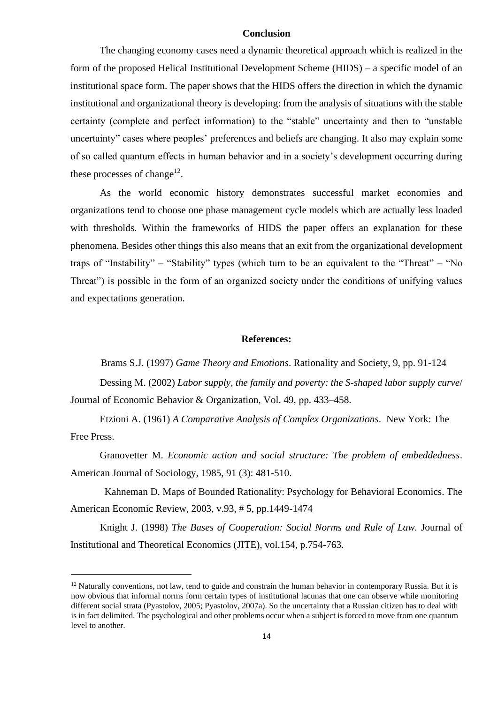## **Conclusion**

The changing economy cases need a dynamic theoretical approach which is realized in the form of the proposed Helical Institutional Development Scheme (HIDS) – a specific model of an institutional space form. The paper shows that the HIDS offers the direction in which the dynamic institutional and organizational theory is developing: from the analysis of situations with the stable certainty (complete and perfect information) to the "stable" uncertainty and then to "unstable uncertainty" cases where peoples' preferences and beliefs are changing. It also may explain some of so called quantum effects in human behavior and in a society's development occurring during these processes of change<sup>12</sup>.

As the world economic history demonstrates successful market economies and organizations tend to choose one phase management cycle models which are actually less loaded with thresholds. Within the frameworks of HIDS the paper offers an explanation for these phenomena. Besides other things this also means that an exit from the organizational development traps of "Instability" – "Stability" types (which turn to be an equivalent to the "Threat" – "No Threat") is possible in the form of an organized society under the conditions of unifying values and expectations generation.

#### **References:**

Brams S.J. (1997) *Game Theory and Emotions*. Rationality and Society, 9, pp. 91-124

Dessing М. (2002) *Labor supply, the family and poverty: the S-shaped labor supply curve*/ Journal of Economic Behavior & Organization, Vol. 49, рр. 433–458.

Etzioni A. (1961) *A Comparative Analysis of Complex Organizations*. New York: The Free Press.

Granovetter M. *Economic action and social structure: The problem of embeddedness*. American Journal of Sociology, 1985, 91 (3): 481-510.

Kahneman D. Maps of Bounded Rationality: Psychology for Behavioral Economics. The American Economic Review, 2003, v.93, # 5, pp.1449-1474

Knight J. (1998) *The Bases of Cooperation: Social Norms and Rule of Law.* Journal of Institutional and Theoretical Economics (JITE), vol.154, p.754-763.

 $12$  Naturally conventions, not law, tend to guide and constrain the human behavior in contemporary Russia. But it is now obvious that informal norms form certain types of institutional lacunas that one can observe while monitoring different social strata (Pyastolov, 2005; Pyastolov, 2007a). So the uncertainty that a Russian citizen has to deal with is in fact delimited. The psychological and other problems occur when a subject is forced to move from one quantum level to another.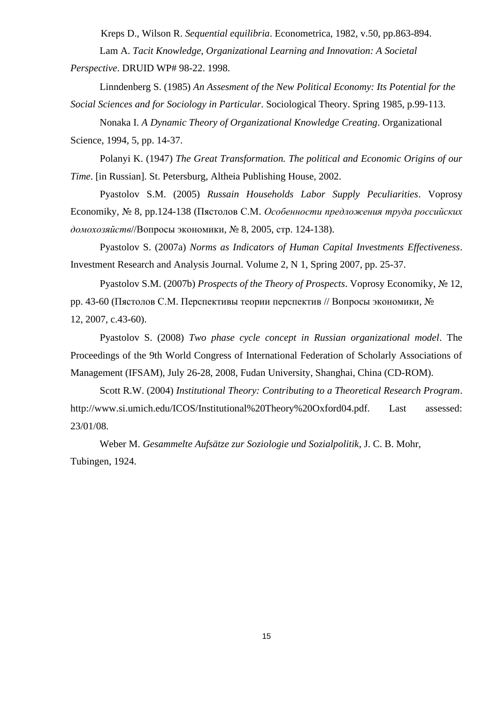Kreps D., Wilson R. *Sequential equilibria*. Econometrica, 1982, v.50, pp.863-894. Lam A. *Tacit Knowledge, Organizational Learning and Innovation: A Societal* 

*Perspective*. DRUID WP# 98-22. 1998.

Linndenberg S. (1985) *An Assesment of the New Political Economy: Its Potential for the Social Sciences and for Sociology in Particular*. Sociological Theory. Spring 1985, p.99-113.

Nonaka I. *A Dynamic Theory of Organizational Knowledge Creating*. Organizational Science, 1994, 5, pp. 14-37.

Polanyi K. (1947) *The Great Transformation. The political and Economic Origins of our Time*. [in Russian]. St. Petersburg, Altheia Publishing House, 2002.

Pyastolov S.M. (2005) *Russain Households Labor Supply Peculiarities*. Voprosy Economiky, № 8, pp.124-138 (Пястолов С.М. *Особенности предложения труда российских домохозяйств*//Вопросы экономики, № 8, 2005, стр. 124-138).

Pyastolov S. (2007a) *Norms as Indicators of Human Capital Investments Effectiveness*. Investment Research and Analysis Journal. Volume 2, N 1, Spring 2007, pp. 25-37.

Pyastolov S.M. (2007b) *Prospects of the Theory of Prospects*. Voprosy Economiky, № 12, pp. 43-60 (Пястолов С.М. Перспективы теории перспектив // Вопросы экономики, № 12, 2007, c.43-60).

Pyastolov S. (2008) *Two phase cycle concept in Russian organizational model*. The Proceedings of the 9th World Congress of International Federation of Scholarly Associations of Management (IFSAM), July 26-28, 2008, Fudan University, Shanghai, China (CD-ROM).

Scott R.W. (2004) *Institutional Theory: Contributing to a Theoretical Research Program*. http://www.si.umich.edu/ICOS/Institutional%20Theory%20Oxford04.pdf. Last assessed: 23/01/08.

Weber M. *Gesammelte Aufsätze zur Soziologie und Sozialpolitik*, J. C. B. Mohr, Tubingen, 1924.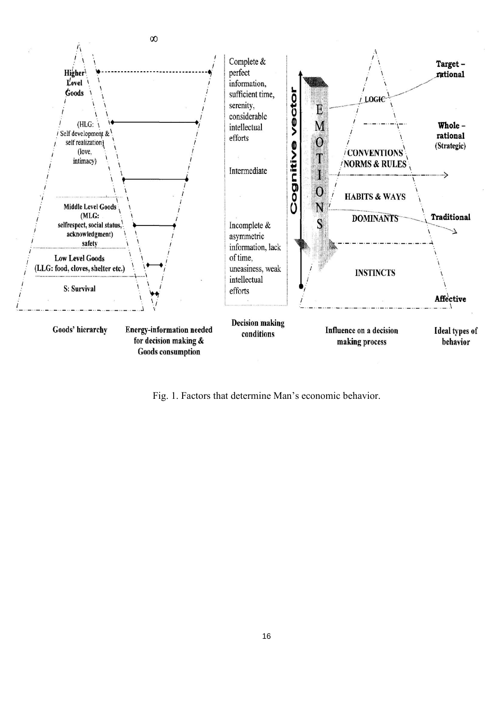

Fig. 1. Factors that determine Man's economic behavior.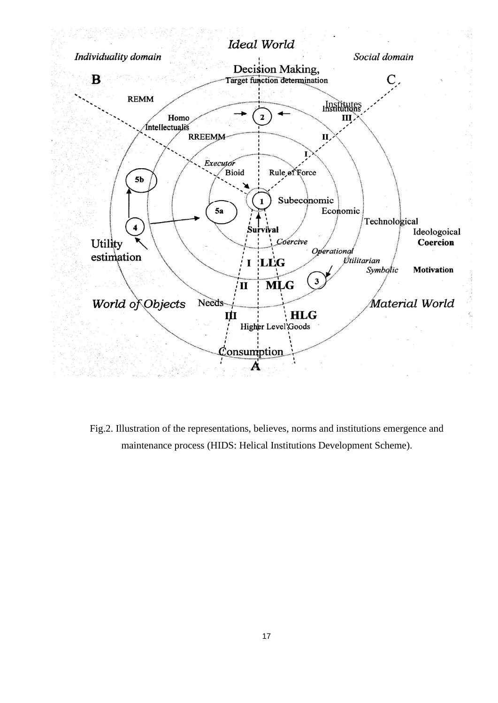

Fig.2. Illustration of the representations, believes, norms and institutions emergence and maintenance process (HIDS: Helical Institutions Development Scheme).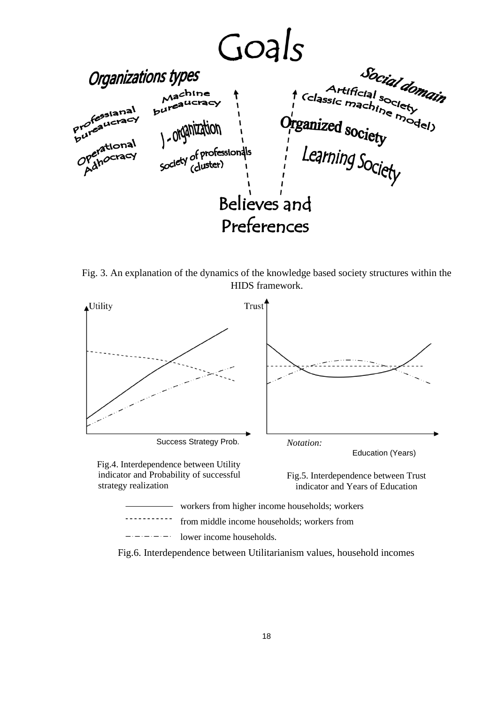

Fig. 3. An explanation of the dynamics of the knowledge based society structures within the HIDS framework.



Fig.6. Interdependence between Utilitarianism values, household incomes